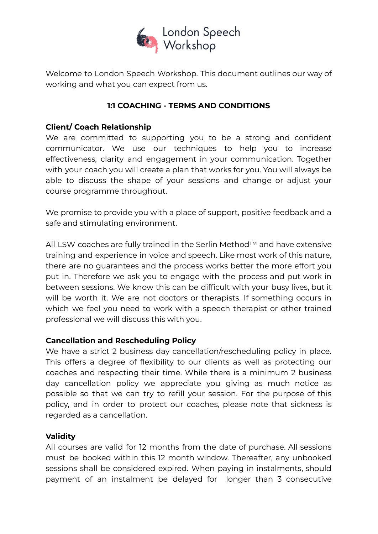

Welcome to London Speech Workshop. This document outlines our way of working and what you can expect from us.

# **1:1 COACHING - TERMS AND CONDITIONS**

# **Client/ Coach Relationship**

We are committed to supporting you to be a strong and confident communicator. We use our techniques to help you to increase effectiveness, clarity and engagement in your communication. Together with your coach you will create a plan that works for you. You will always be able to discuss the shape of your sessions and change or adjust your course programme throughout.

We promise to provide you with a place of support, positive feedback and a safe and stimulating environment.

All LSW coaches are fully trained in the Serlin Method™ and have extensive training and experience in voice and speech. Like most work of this nature, there are no guarantees and the process works better the more effort you put in. Therefore we ask you to engage with the process and put work in between sessions. We know this can be difficult with your busy lives, but it will be worth it. We are not doctors or therapists. If something occurs in which we feel you need to work with a speech therapist or other trained professional we will discuss this with you.

## **Cancellation and Rescheduling Policy**

We have a strict 2 business day cancellation/rescheduling policy in place. This offers a degree of flexibility to our clients as well as protecting our coaches and respecting their time. While there is a minimum 2 business day cancellation policy we appreciate you giving as much notice as possible so that we can try to refill your session. For the purpose of this policy, and in order to protect our coaches, please note that sickness is regarded as a cancellation.

## **Validity**

All courses are valid for 12 months from the date of purchase. All sessions must be booked within this 12 month window. Thereafter, any unbooked sessions shall be considered expired. When paying in instalments, should payment of an instalment be delayed for longer than 3 consecutive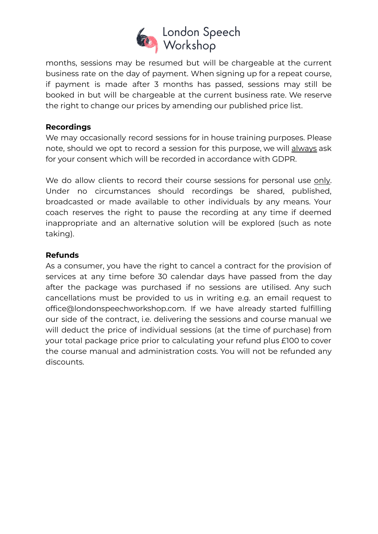

months, sessions may be resumed but will be chargeable at the current business rate on the day of payment. When signing up for a repeat course, if payment is made after 3 months has passed, sessions may still be booked in but will be chargeable at the current business rate. We reserve the right to change our prices by amending our published price list.

## **Recordings**

We may occasionally record sessions for in house training purposes. Please note, should we opt to record a session for this purpose, we will always ask for your consent which will be recorded in accordance with GDPR.

We do allow clients to record their course sessions for personal use only. Under no circumstances should recordings be shared, published, broadcasted or made available to other individuals by any means. Your coach reserves the right to pause the recording at any time if deemed inappropriate and an alternative solution will be explored (such as note taking).

## **Refunds**

As a consumer, you have the right to cancel a contract for the provision of services at any time before 30 calendar days have passed from the day after the package was purchased if no sessions are utilised. Any such cancellations must be provided to us in writing e.g. an email request to office@londonspeechworkshop.com. If we have already started fulfilling our side of the contract, i.e. delivering the sessions and course manual we will deduct the price of individual sessions (at the time of purchase) from your total package price prior to calculating your refund plus £100 to cover the course manual and administration costs. You will not be refunded any discounts.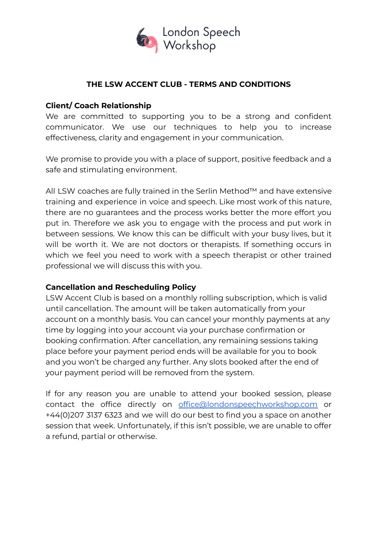

### **THE LSW ACCENT CLUB - TERMS AND CONDITIONS**

### **Client/ Coach Relationship**

We are committed to supporting you to be a strong and confident communicator. We use our techniques to help you to increase effectiveness, clarity and engagement in your communication.

We promise to provide you with a place of support, positive feedback and a safe and stimulating environment.

All LSW coaches are fully trained in the Serlin Method™ and have extensive training and experience in voice and speech. Like most work of this nature, there are no guarantees and the process works better the more effort you put in. Therefore we ask you to engage with the process and put work in between sessions. We know this can be difficult with your busy lives, but it will be worth it. We are not doctors or therapists. If something occurs in which we feel you need to work with a speech therapist or other trained professional we will discuss this with you.

#### **Cancellation and Rescheduling Policy**

LSW Accent Club is based on a monthly rolling subscription, which is valid until cancellation. The amount will be taken automatically from your account on a monthly basis. You can cancel your monthly payments at any time by logging into your account via your purchase confirmation or booking confirmation. After cancellation, any remaining sessions taking place before your payment period ends will be available for you to book and you won't be charged any further. Any slots booked after the end of your payment period will be removed from the system.

If for any reason you are unable to attend your booked session, please contact the office directly on [office@londonspeechworkshop.com](mailto:office@londonspeechworkshop.com) or +44(0)207 3137 6323 and we will do our best to find you a space on another session that week. Unfortunately, if this isn't possible, we are unable to offer a refund, partial or otherwise.